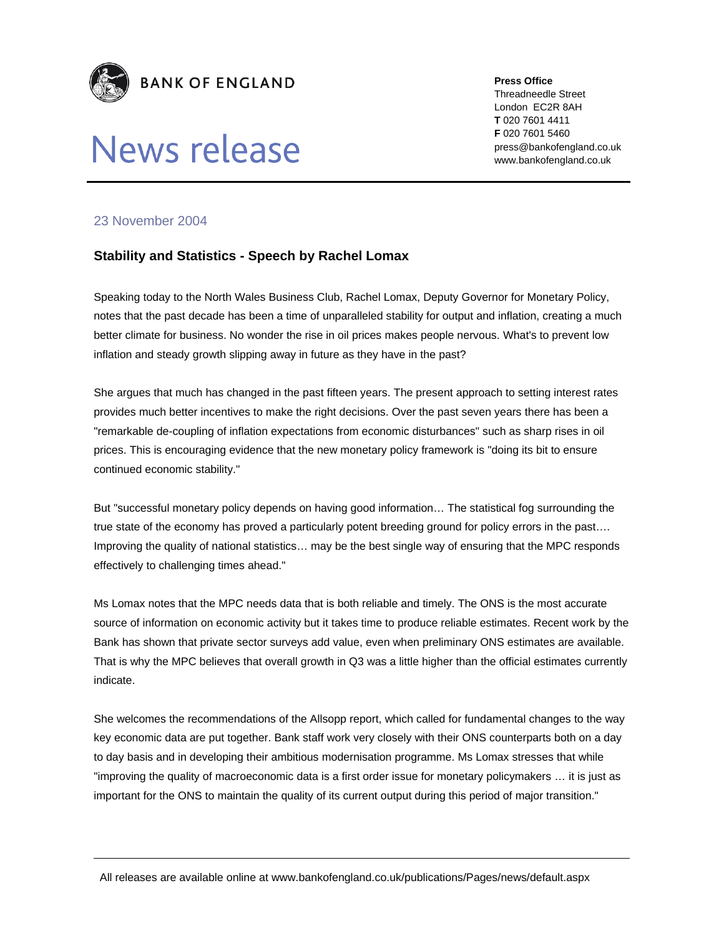

# News release

**Press Office** 

Threadneedle Street London EC2R 8AH **T** 020 7601 4411 **F** 020 7601 5460 press@bankofengland.co.uk www.bankofengland.co.uk

## 23 November 2004

## **Stability and Statistics - Speech by Rachel Lomax**

Speaking today to the North Wales Business Club, Rachel Lomax, Deputy Governor for Monetary Policy, notes that the past decade has been a time of unparalleled stability for output and inflation, creating a much better climate for business. No wonder the rise in oil prices makes people nervous. What's to prevent low inflation and steady growth slipping away in future as they have in the past?

She argues that much has changed in the past fifteen years. The present approach to setting interest rates provides much better incentives to make the right decisions. Over the past seven years there has been a "remarkable de-coupling of inflation expectations from economic disturbances" such as sharp rises in oil prices. This is encouraging evidence that the new monetary policy framework is "doing its bit to ensure continued economic stability."

But "successful monetary policy depends on having good information… The statistical fog surrounding the true state of the economy has proved a particularly potent breeding ground for policy errors in the past…. Improving the quality of national statistics… may be the best single way of ensuring that the MPC responds effectively to challenging times ahead."

Ms Lomax notes that the MPC needs data that is both reliable and timely. The ONS is the most accurate source of information on economic activity but it takes time to produce reliable estimates. Recent work by the Bank has shown that private sector surveys add value, even when preliminary ONS estimates are available. That is why the MPC believes that overall growth in Q3 was a little higher than the official estimates currently indicate.

She welcomes the recommendations of the Allsopp report, which called for fundamental changes to the way key economic data are put together. Bank staff work very closely with their ONS counterparts both on a day to day basis and in developing their ambitious modernisation programme. Ms Lomax stresses that while "improving the quality of macroeconomic data is a first order issue for monetary policymakers … it is just as important for the ONS to maintain the quality of its current output during this period of major transition."